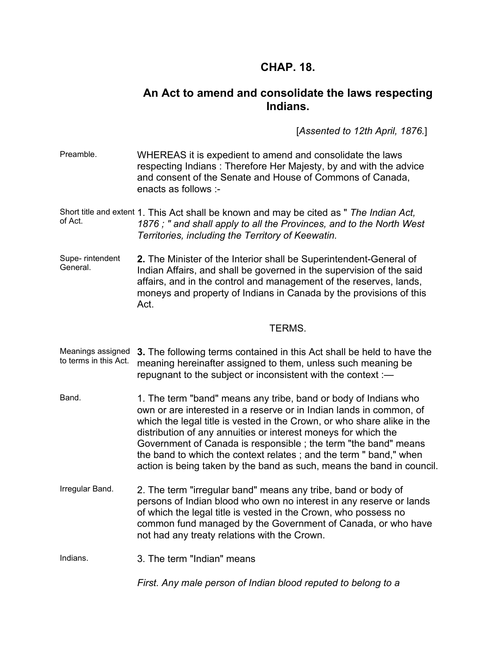# **CHAP. 18.**

# **An Act to amend and consolidate the laws respecting Indians.**

[*Assented to 12th April, 1876.*]

Preamble. WHEREAS it is expedient to amend and consolidate the laws respecting Indians : Therefore Her Majesty, by and with the advice and consent of the Senate and House of Commons of Canada, enacts as follows :-

Short title and extent 1. This Act shall be known and may be cited as " *The Indian Act,*<br>of Act. **1876 : "** and shall annly to all the Provinces, and to the North We *1876 ; " and shall apply to all the Provinces, and to the North West Territories, including the Territory of Keewatin.*

Supe- rintendent General. **2.** The Minister of the Interior shall be Superintendent-General of Indian Affairs, and shall be governed in the supervision of the said affairs, and in the control and management of the reserves, lands, moneys and property of Indians in Canada by the provisions of this Act.

#### TERMS.

Meanings assigned to terms in this Act. **3.** The following terms contained in this Act shall be held to have the meaning hereinafter assigned to them, unless such meaning be repugnant to the subject or inconsistent with the context :—

- Band. 1. The term "band" means any tribe, band or body of Indians who own or are interested in a reserve or in Indian lands in common, of which the legal title is vested in the Crown, or who share alike in the distribution of any annuities or interest moneys for which the Government of Canada is responsible ; the term "the band" means the band to which the context relates ; and the term " band," when action is being taken by the band as such, means the band in council.
- Irregular Band. 2. The term "irregular band" means any tribe, band or body of persons of Indian blood who own no interest in any reserve or lands of which the legal title is vested in the Crown, who possess no common fund managed by the Government of Canada, or who have not had any treaty relations with the Crown.

Indians. 3. The term "Indian" means

*First. Any male person of Indian blood reputed to belong to a*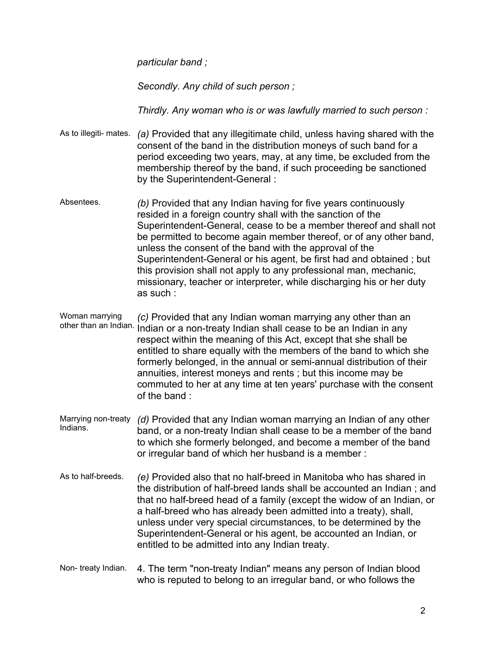*particular band ;* 

*Secondly. Any child of such person ;* 

*Thirdly. Any woman who is or was lawfully married to such person :*

As to illegiti- mates. *(a)* Provided that any illegitimate child, unless having shared with the consent of the band in the distribution moneys of such band for a period exceeding two years, may, at any time, be excluded from the membership thereof by the band, if such proceeding be sanctioned by the Superintendent-General :

- Absentees. *(b)* Provided that any Indian having for five years continuously resided in a foreign country shall with the sanction of the Superintendent-General, cease to be a member thereof and shall not be permitted to become again member thereof, or of any other band, unless the consent of the band with the approval of the Superintendent-General or his agent, be first had and obtained ; but this provision shall not apply to any professional man, mechanic, missionary, teacher or interpreter, while discharging his or her duty as such :
- Woman marrying<br>other than an Indian. (c) Provided that any Indian woman marrying any other than an Indian or a non-treaty Indian shall cease to be an Indian in any respect within the meaning of this Act, except that she shall be entitled to share equally with the members of the band to which she formerly belonged, in the annual or semi-annual distribution of their annuities, interest moneys and rents ; but this income may be commuted to her at any time at ten years' purchase with the consent of the band :
- Marrying non-treaty Indians. *(d)* Provided that any Indian woman marrying an Indian of any other band, or a non-treaty Indian shall cease to be a member of the band to which she formerly belonged, and become a member of the band or irregular band of which her husband is a member :
- As to half-breeds. *(e)* Provided also that no half-breed in Manitoba who has shared in the distribution of half-breed lands shall be accounted an Indian ; and that no half-breed head of a family (except the widow of an Indian, or a half-breed who has already been admitted into a treaty), shall, unless under very special circumstances, to be determined by the Superintendent-General or his agent, be accounted an Indian, or entitled to be admitted into any Indian treaty.
- Non- treaty Indian. 4. The term "non-treaty Indian" means any person of Indian blood who is reputed to belong to an irregular band, or who follows the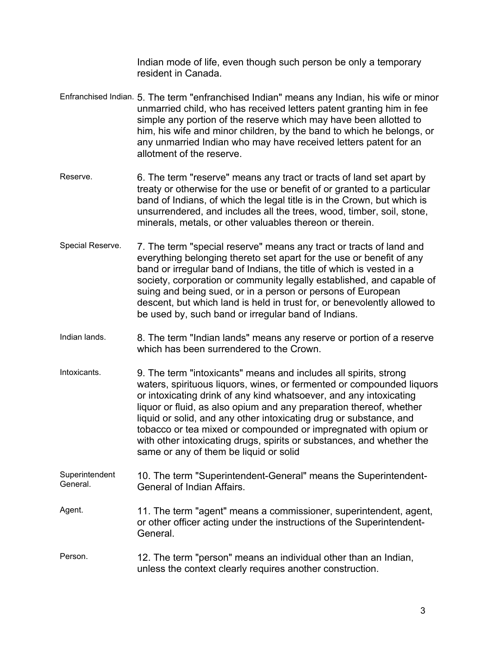Indian mode of life, even though such person be only a temporary resident in Canada.

- Enfranchised Indian. 5. The term "enfranchised Indian" means any Indian, his wife or minor unmarried child, who has received letters patent granting him in fee simple any portion of the reserve which may have been allotted to him, his wife and minor children, by the band to which he belongs, or any unmarried Indian who may have received letters patent for an allotment of the reserve.
- Reserve. 6. The term "reserve" means any tract or tracts of land set apart by treaty or otherwise for the use or benefit of or granted to a particular band of Indians, of which the legal title is in the Crown, but which is unsurrendered, and includes all the trees, wood, timber, soil, stone, minerals, metals, or other valuables thereon or therein.
- Special Reserve. 7. The term "special reserve" means any tract or tracts of land and everything belonging thereto set apart for the use or benefit of any band or irregular band of Indians, the title of which is vested in a society, corporation or community legally established, and capable of suing and being sued, or in a person or persons of European descent, but which land is held in trust for, or benevolently allowed to be used by, such band or irregular band of Indians.
- Indian lands. 8. The term "Indian lands" means any reserve or portion of a reserve which has been surrendered to the Crown.
- Intoxicants. 9. The term "intoxicants" means and includes all spirits, strong waters, spirituous liquors, wines, or fermented or compounded liquors or intoxicating drink of any kind whatsoever, and any intoxicating liquor or fluid, as also opium and any preparation thereof, whether liquid or solid, and any other intoxicating drug or substance, and tobacco or tea mixed or compounded or impregnated with opium or with other intoxicating drugs, spirits or substances, and whether the same or any of them be liquid or solid
- **Superintendent** Superintendent 10. The term "Superintendent-General" means the Superintendent-<br>General. Conoral of Indian Affaire General of Indian Affairs.
- Agent. 11. The term "agent" means a commissioner, superintendent, agent, or other officer acting under the instructions of the Superintendent-General.

# Person. 12. The term "person" means an individual other than an Indian, unless the context clearly requires another construction.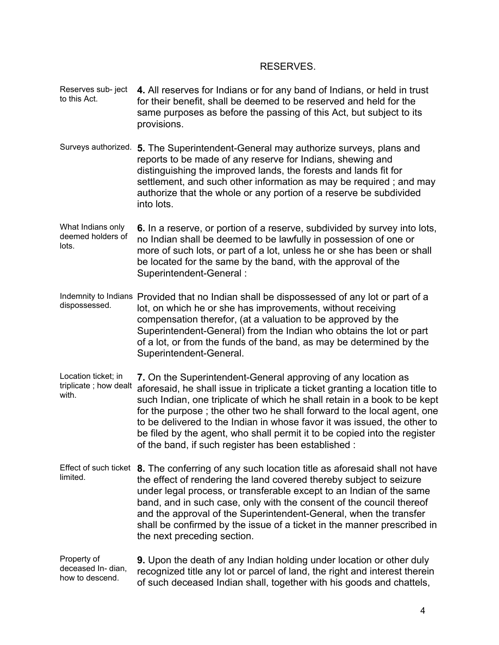# RESERVES.

- Reserves sub- ject to this Act. **4.** All reserves for Indians or for any band of Indians, or held in trust for their benefit, shall be deemed to be reserved and held for the same purposes as before the passing of this Act, but subject to its provisions.
- Surveys authorized. **5.** The Superintendent-General may authorize surveys, plans and reports to be made of any reserve for Indians, shewing and distinguishing the improved lands, the forests and lands fit for settlement, and such other information as may be required ; and may authorize that the whole or any portion of a reserve be subdivided into lots.
- What Indians only deemed holders of lots. **6.** In a reserve, or portion of a reserve, subdivided by survey into lots, no Indian shall be deemed to be lawfully in possession of one or more of such lots, or part of a lot, unless he or she has been or shall be located for the same by the band, with the approval of the Superintendent-General :
- Indemnity to Indians Provided that no Indian shall be dispossessed of any lot or part of a dispossessed. lot, on which he or she has improvements, without receiving compensation therefor, (at a valuation to be approved by the Superintendent-General) from the Indian who obtains the lot or part of a lot, or from the funds of the band, as may be determined by the Superintendent-General.
- Location ticket; in triplicate ; how dealt with. **7.** On the Superintendent-General approving of any location as aforesaid, he shall issue in triplicate a ticket granting a location title to such Indian, one triplicate of which he shall retain in a book to be kept for the purpose ; the other two he shall forward to the local agent, one to be delivered to the Indian in whose favor it was issued, the other to be filed by the agent, who shall permit it to be copied into the register of the band, if such register has been established :
- Effect of such ticket **8.** The conferring of any such location title as aforesaid shall not have limited. the effect of rendering the land covered thereby subject to seizure under legal process, or transferable except to an Indian of the same band, and in such case, only with the consent of the council thereof and the approval of the Superintendent-General, when the transfer shall be confirmed by the issue of a ticket in the manner prescribed in the next preceding section.

Property of deceased In- dian, how to descend. **9.** Upon the death of any Indian holding under location or other duly recognized title any lot or parcel of land, the right and interest therein of such deceased Indian shall, together with his goods and chattels,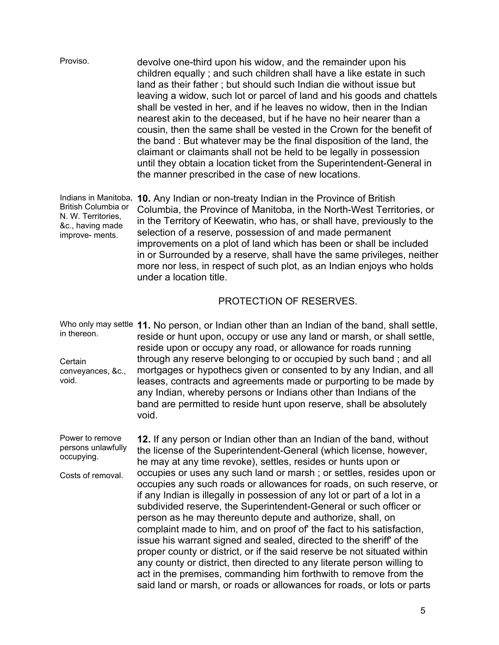| Proviso. | devolve one-third upon his widow, and the remainder upon his           |
|----------|------------------------------------------------------------------------|
|          | children equally; and such children shall have a like estate in such   |
|          | land as their father; but should such Indian die without issue but     |
|          | leaving a widow, such lot or parcel of land and his goods and chattels |
|          | shall be vested in her, and if he leaves no widow, then in the Indian  |
|          | nearest akin to the deceased, but if he have no heir nearer than a     |
|          | cousin, then the same shall be vested in the Crown for the benefit of  |
|          | the band: But whatever may be the final disposition of the land, the   |
|          | claimant or claimants shall not be held to be legally in possession    |
|          | until they obtain a location ticket from the Superintendent-General in |
|          | the manner prescribed in the case of new locations.                    |

Indians in Manitoba, **10.** Any Indian or non-treaty Indian in the Province of British British Columbia or N. W. Territories, &c., having made improve- ments. Columbia, the Province of Manitoba, in the North-West Territories, or in the Territory of Keewatin, who has, or shall have, previously to the selection of a reserve, possession of and made permanent improvements on a plot of land which has been or shall be included in or Surrounded by a reserve, shall have the same privileges, neither more nor less, in respect of such plot, as an Indian enjoys who holds under a location title.

# PROTECTION OF RESERVES.

Who only may settle **11.** No person, or Indian other than an Indian of the band, shall settle, in thereon. **Certain** conveyances, &c., void. reside or hunt upon, occupy or use any land or marsh, or shall settle, reside upon or occupy any road, or allowance for roads running through any reserve belonging to or occupied by such band ; and all mortgages or hypothecs given or consented to by any Indian, and all leases, contracts and agreements made or purporting to be made by any Indian, whereby persons or Indians other than Indians of the band are permitted to reside hunt upon reserve, shall be absolutely void.

Power to remove persons unlawfully occupying. Costs of removal. **12.** If any person or Indian other than an Indian of the band, without the license of the Superintendent-General (which license, however, he may at any time revoke), settles, resides or hunts upon or occupies or uses any such land or marsh ; or settles, resides upon or occupies any such roads or allowances for roads, on such reserve, or if any Indian is illegally in possession of any lot or part of a lot in a subdivided reserve, the Superintendent-General or such officer or person as he may thereunto depute and authorize, shall, on complaint made to him, and on proof of' the fact to his satisfaction, issue his warrant signed and sealed, directed to the sheriff' of the proper county or district, or if the said reserve be not situated within any county or district, then directed to any literate person willing to act in the premises, commanding him forthwith to remove from the said land or marsh, or roads or allowances for roads, or lots or parts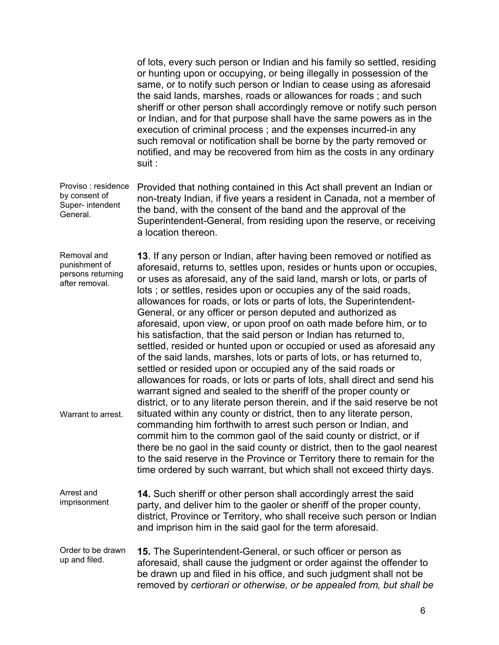of lots, every such person or Indian and his family so settled, residing or hunting upon or occupying, or being illegally in possession of the same, or to notify such person or Indian to cease using as aforesaid the said lands, marshes, roads or allowances for roads ; and such sheriff or other person shall accordingly remove or notify such person or Indian, and for that purpose shall have the same powers as in the execution of criminal process ; and the expenses incurred-in any such removal or notification shall be borne by the party removed or notified, and may be recovered from him as the costs in any ordinary suit :

Proviso : residence by consent of Super- intendent General. Provided that nothing contained in this Act shall prevent an Indian or non-treaty Indian, if five years a resident in Canada, not a member of the band, with the consent of the band and the approval of the Superintendent-General, from residing upon the reserve, or receiving a location thereon.

Removal and punishment of persons returning after removal. Warrant to arrest. **13**. If any person or Indian, after having been removed or notified as aforesaid, returns to, settles upon, resides or hunts upon or occupies, or uses as aforesaid, any of the said land, marsh or lots, or parts of lots ; or settles, resides upon or occupies any of the said roads, allowances for roads, or lots or parts of lots, the Superintendent-General, or any officer or person deputed and authorized as aforesaid, upon view, or upon proof on oath made before him, or to his satisfaction, that the said person or Indian has returned to, settled, resided or hunted upon or occupied or used as aforesaid any of the said lands, marshes, lots or parts of lots, or has returned to, settled or resided upon or occupied any of the said roads or allowances for roads, or lots or parts of lots, shall direct and send his warrant signed and sealed to the sheriff of the proper county or district, or to any literate person therein, and if the said reserve be not situated within any county or district, then to any literate person, commanding him forthwith to arrest such person or Indian, and commit him to the common gaol of the said county or district, or if there be no gaol in the said county or district, then to the gaol nearest to the said reserve in the Province or Territory there to remain for the time ordered by such warrant, but which shall not exceed thirty days.

- Arrest and imprisonment **14.** Such sheriff or other person shall accordingly arrest the said party, and deliver him to the gaoler or sheriff of the proper county, district, Province or Territory, who shall receive such person or Indian and imprison him in the said gaol for the term aforesaid.
- Order to be drawn up and filed. **15.** The Superintendent-General, or such officer or person as aforesaid, shall cause the judgment or order against the offender to be drawn up and filed in his office, and such judgment shall not be removed by *certiorari or otherwise, or be appealed from, but shall be*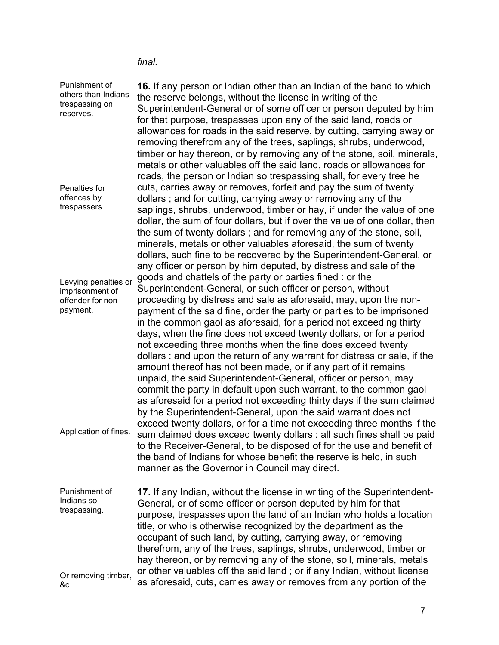# *final.*

| Punishment of<br>others than Indians<br>trespassing on<br>reserves.      | 16. If any person or Indian other than an Indian of the band to which<br>the reserve belongs, without the license in writing of the<br>Superintendent-General or of some officer or person deputed by him<br>for that purpose, trespasses upon any of the said land, roads or<br>allowances for roads in the said reserve, by cutting, carrying away or<br>removing therefrom any of the trees, saplings, shrubs, underwood,<br>timber or hay thereon, or by removing any of the stone, soil, minerals,<br>metals or other valuables off the said land, roads or allowances for<br>roads, the person or Indian so trespassing shall, for every tree he                                                                                                                                                                                                                                                                                                                                      |
|--------------------------------------------------------------------------|---------------------------------------------------------------------------------------------------------------------------------------------------------------------------------------------------------------------------------------------------------------------------------------------------------------------------------------------------------------------------------------------------------------------------------------------------------------------------------------------------------------------------------------------------------------------------------------------------------------------------------------------------------------------------------------------------------------------------------------------------------------------------------------------------------------------------------------------------------------------------------------------------------------------------------------------------------------------------------------------|
| Penalties for<br>offences by<br>trespassers.                             | cuts, carries away or removes, forfeit and pay the sum of twenty<br>dollars; and for cutting, carrying away or removing any of the<br>saplings, shrubs, underwood, timber or hay, if under the value of one<br>dollar, the sum of four dollars, but if over the value of one dollar, then<br>the sum of twenty dollars; and for removing any of the stone, soil,<br>minerals, metals or other valuables aforesaid, the sum of twenty<br>dollars, such fine to be recovered by the Superintendent-General, or<br>any officer or person by him deputed, by distress and sale of the                                                                                                                                                                                                                                                                                                                                                                                                           |
| Levying penalties or<br>imprisonment of<br>offender for non-<br>payment. | goods and chattels of the party or parties fined : or the<br>Superintendent-General, or such officer or person, without<br>proceeding by distress and sale as aforesaid, may, upon the non-<br>payment of the said fine, order the party or parties to be imprisoned<br>in the common gaol as aforesaid, for a period not exceeding thirty<br>days, when the fine does not exceed twenty dollars, or for a period<br>not exceeding three months when the fine does exceed twenty<br>dollars: and upon the return of any warrant for distress or sale, if the<br>amount thereof has not been made, or if any part of it remains<br>unpaid, the said Superintendent-General, officer or person, may<br>commit the party in default upon such warrant, to the common gaol<br>as aforesaid for a period not exceeding thirty days if the sum claimed<br>by the Superintendent-General, upon the said warrant does not<br>exceed twenty dollars, or for a time not exceeding three months if the |
| Application of fines.                                                    | sum claimed does exceed twenty dollars : all such fines shall be paid<br>to the Receiver-General, to be disposed of for the use and benefit of<br>the band of Indians for whose benefit the reserve is held, in such<br>manner as the Governor in Council may direct.                                                                                                                                                                                                                                                                                                                                                                                                                                                                                                                                                                                                                                                                                                                       |
| Punishment of<br>Indians so<br>trespassing.                              | 17. If any Indian, without the license in writing of the Superintendent-<br>General, or of some officer or person deputed by him for that<br>purpose, trespasses upon the land of an Indian who holds a location<br>title, or who is otherwise recognized by the department as the<br>occupant of such land, by cutting, carrying away, or removing<br>therefrom, any of the trees, saplings, shrubs, underwood, timber or<br>hay thereon, or by removing any of the stone, soil, minerals, metals                                                                                                                                                                                                                                                                                                                                                                                                                                                                                          |
| Or removing timber,<br>&c.                                               | or other valuables off the said land; or if any Indian, without license<br>as aforesaid, cuts, carries away or removes from any portion of the                                                                                                                                                                                                                                                                                                                                                                                                                                                                                                                                                                                                                                                                                                                                                                                                                                              |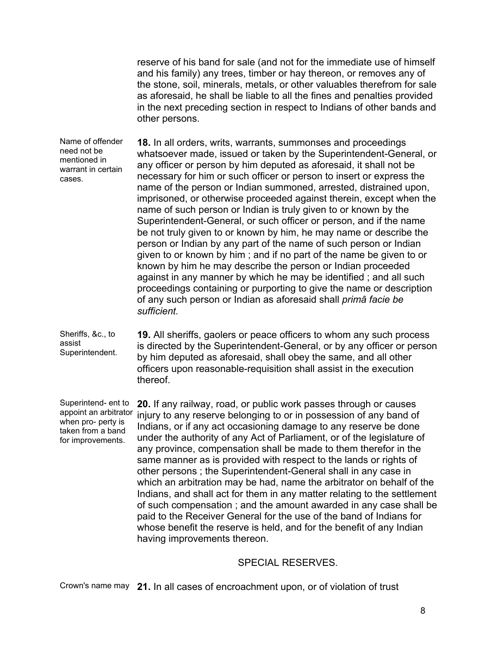reserve of his band for sale (and not for the immediate use of himself and his family) any trees, timber or hay thereon, or removes any of the stone, soil, minerals, metals, or other valuables therefrom for sale as aforesaid, he shall be liable to all the fines and penalties provided in the next preceding section in respect to Indians of other bands and other persons.

Name of offender need not be mentioned in warrant in certain cases. **18.** In all orders, writs, warrants, summonses and proceedings whatsoever made, issued or taken by the Superintendent-General, or any officer or person by him deputed as aforesaid, it shall not be necessary for him or such officer or person to insert or express the name of the person or Indian summoned, arrested, distrained upon, imprisoned, or otherwise proceeded against therein, except when the name of such person or Indian is truly given to or known by the Superintendent-General, or such officer or person, and if the name be not truly given to or known by him, he may name or describe the person or Indian by any part of the name of such person or Indian given to or known by him ; and if no part of the name be given to or known by him he may describe the person or Indian proceeded against in any manner by which he may be identified ; and all such proceedings containing or purporting to give the name or description of any such person or Indian as aforesaid shall *primâ facie be sufficient.*

Sheriffs, &c., to assist Superintendent. **19.** All sheriffs, gaolers or peace officers to whom any such process is directed by the Superintendent-General, or by any officer or person by him deputed as aforesaid, shall obey the same, and all other officers upon reasonable-requisition shall assist in the execution thereof.

Superintend- ent to appoint an arbitrator when pro- perty is taken from a band for improvements. **20.** If any railway, road, or public work passes through or causes injury to any reserve belonging to or in possession of any band of Indians, or if any act occasioning damage to any reserve be done under the authority of any Act of Parliament, or of the legislature of any province, compensation shall be made to them therefor in the same manner as is provided with respect to the lands or rights of other persons ; the Superintendent-General shall in any case in which an arbitration may be had, name the arbitrator on behalf of the Indians, and shall act for them in any matter relating to the settlement of such compensation ; and the amount awarded in any case shall be paid to the Receiver General for the use of the band of Indians for whose benefit the reserve is held, and for the benefit of any Indian having improvements thereon.

#### SPECIAL RESERVES.

Crown's name may **21.** In all cases of encroachment upon, or of violation of trust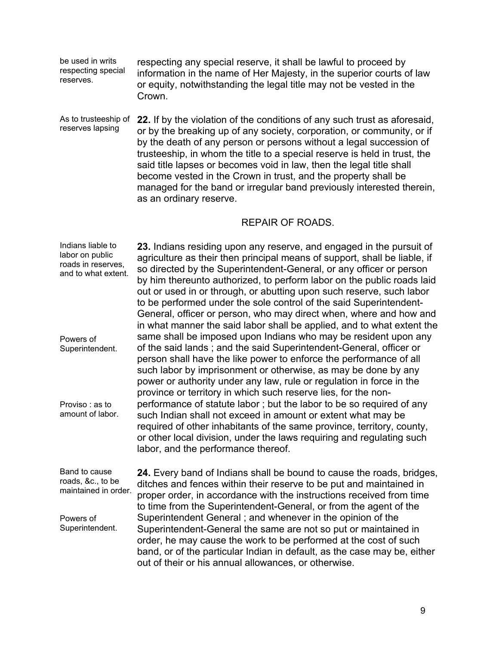be used in writs respecting special reserves. respecting any special reserve, it shall be lawful to proceed by information in the name of Her Majesty, in the superior courts of law or equity, notwithstanding the legal title may not be vested in the Crown.

As to trusteeship of reserves lapsing **22.** If by the violation of the conditions of any such trust as aforesaid, or by the breaking up of any society, corporation, or community, or if by the death of any person or persons without a legal succession of trusteeship, in whom the title to a special reserve is held in trust, the said title lapses or becomes void in law, then the legal title shall become vested in the Crown in trust, and the property shall be managed for the band or irregular band previously interested therein, as an ordinary reserve.

#### REPAIR OF ROADS.

Indians liable to labor on public roads in reserves, and to what extent. Powers of Superintendent. Proviso : as to amount of labor. **23.** Indians residing upon any reserve, and engaged in the pursuit of agriculture as their then principal means of support, shall be liable, if so directed by the Superintendent-General, or any officer or person by him thereunto authorized, to perform labor on the public roads laid out or used in or through, or abutting upon such reserve, such labor to be performed under the sole control of the said Superintendent-General, officer or person, who may direct when, where and how and in what manner the said labor shall be applied, and to what extent the same shall be imposed upon Indians who may be resident upon any of the said lands ; and the said Superintendent-General, officer or person shall have the like power to enforce the performance of all such labor by imprisonment or otherwise, as may be done by any power or authority under any law, rule or regulation in force in the province or territory in which such reserve lies, for the nonperformance of statute labor ; but the labor to be so required of any such Indian shall not exceed in amount or extent what may be required of other inhabitants of the same province, territory, county, or other local division, under the laws requiring and regulating such labor, and the performance thereof.

Band to cause roads, &c., to be maintained in order. Powers of Superintendent. **24.** Every band of Indians shall be bound to cause the roads, bridges, ditches and fences within their reserve to be put and maintained in proper order, in accordance with the instructions received from time to time from the Superintendent-General, or from the agent of the Superintendent General ; and whenever in the opinion of the Superintendent-General the same are not so put or maintained in order, he may cause the work to be performed at the cost of such band, or of the particular Indian in default, as the case may be, either out of their or his annual allowances, or otherwise.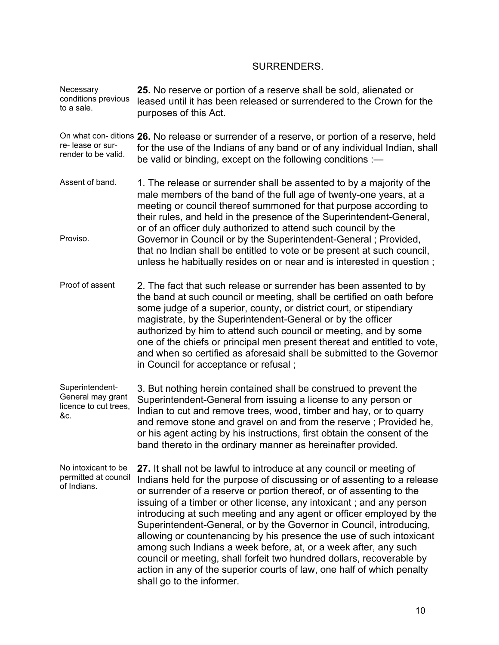# SURRENDERS.

**Necessary** conditions previous to a sale. **25.** No reserve or portion of a reserve shall be sold, alienated or leased until it has been released or surrendered to the Crown for the purposes of this Act.

On what con- ditions **26.** No release or surrender of a reserve, or portion of a reserve, held re- lease or surrender to be valid. for the use of the Indians of any band or of any individual Indian, shall be valid or binding, except on the following conditions :—

- Assent of band. Proviso. 1. The release or surrender shall be assented to by a majority of the male members of the band of the full age of twenty-one years, at a meeting or council thereof summoned for that purpose according to their rules, and held in the presence of the Superintendent-General, or of an officer duly authorized to attend such council by the Governor in Council or by the Superintendent-General ; Provided, that no Indian shall be entitled to vote or be present at such council, unless he habitually resides on or near and is interested in question ;
- Proof of assent 2. The fact that such release or surrender has been assented to by the band at such council or meeting, shall be certified on oath before some judge of a superior, county, or district court, or stipendiary magistrate, by the Superintendent-General or by the officer authorized by him to attend such council or meeting, and by some one of the chiefs or principal men present thereat and entitled to vote, and when so certified as aforesaid shall be submitted to the Governor in Council for acceptance or refusal ;

Superintendent-General may grant licence to cut trees, &c. 3. But nothing herein contained shall be construed to prevent the Superintendent-General from issuing a license to any person or Indian to cut and remove trees, wood, timber and hay, or to quarry and remove stone and gravel on and from the reserve ; Provided he, or his agent acting by his instructions, first obtain the consent of the band thereto in the ordinary manner as hereinafter provided.

No intoxicant to be permitted at council of Indians. **27.** It shall not be lawful to introduce at any council or meeting of Indians held for the purpose of discussing or of assenting to a release or surrender of a reserve or portion thereof, or of assenting to the issuing of a timber or other license, any intoxicant ; and any person introducing at such meeting and any agent or officer employed by the Superintendent-General, or by the Governor in Council, introducing, allowing or countenancing by his presence the use of such intoxicant among such Indians a week before, at, or a week after, any such council or meeting, shall forfeit two hundred dollars, recoverable by action in any of the superior courts of law, one half of which penalty shall go to the informer.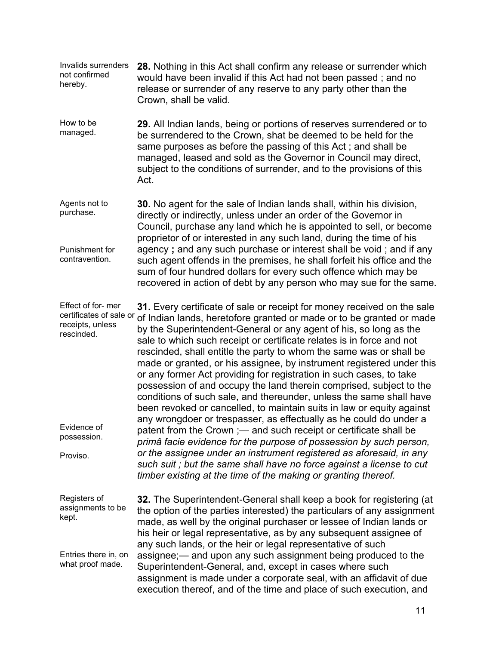- Invalids surrenders not confirmed hereby. **28.** Nothing in this Act shall confirm any release or surrender which would have been invalid if this Act had not been passed ; and no release or surrender of any reserve to any party other than the Crown, shall be valid.
- How to be managed. **29.** All Indian lands, being or portions of reserves surrendered or to be surrendered to the Crown, shat be deemed to be held for the same purposes as before the passing of this Act ; and shall be managed, leased and sold as the Governor in Council may direct, subject to the conditions of surrender, and to the provisions of this Act.
- Agents not to purchase. Punishment for contravention. **30.** No agent for the sale of Indian lands shall, within his division, directly or indirectly, unless under an order of the Governor in Council, purchase any land which he is appointed to sell, or become proprietor of or interested in any such land, during the time of his agency **;** and any such purchase or interest shall be void ; and if any such agent offends in the premises, he shall forfeit his office and the sum of four hundred dollars for every such offence which may be recovered in action of debt by any person who may sue for the same.

Effect of for- mer certificates of sale or receipts, unless rescinded. Evidence of possession. Proviso. **31.** Every certificate of sale or receipt for money received on the sale of Indian lands, heretofore granted or made or to be granted or made by the Superintendent-General or any agent of his, so long as the sale to which such receipt or certificate relates is in force and not rescinded, shall entitle the party to whom the same was or shall be made or granted, or his assignee, by instrument registered under this or any former Act providing for registration in such cases, to take possession of and occupy the land therein comprised, subject to the conditions of such sale, and thereunder, unless the same shall have been revoked or cancelled, to maintain suits in law or equity against any wrongdoer or trespasser, as effectually as he could do under a patent from the Crown ;— and such receipt or certificate shall be *primâ facie evidence for the purpose of possession by such person, or the assignee under an instrument registered as aforesaid, in any such suit ; but the same shall have no force against a license to cut timber existing at the time of the making or granting thereof.*

Registers of assignments to be kept. Entries there in, on what proof made. **32.** The Superintendent-General shall keep a book for registering (at the option of the parties interested) the particulars of any assignment made, as well by the original purchaser or lessee of Indian lands or his heir or legal representative, as by any subsequent assignee of any such lands, or the heir or legal representative of such assignee;— and upon any such assignment being produced to the Superintendent-General, and, except in cases where such assignment is made under a corporate seal, with an affidavit of due execution thereof, and of the time and place of such execution, and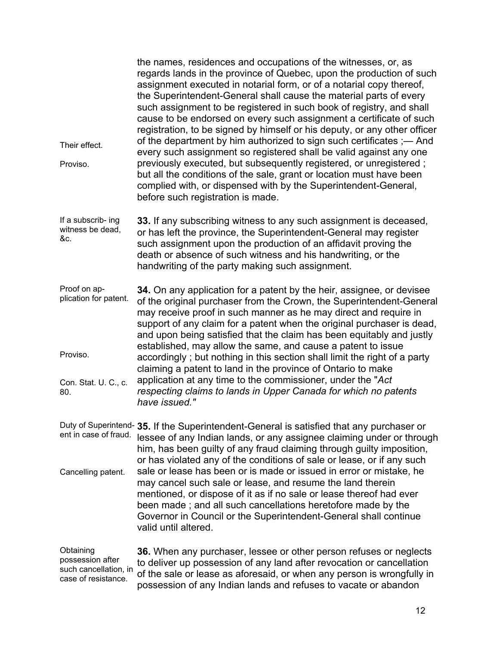| Their effect.<br>Proviso.                                                        | the names, residences and occupations of the witnesses, or, as<br>regards lands in the province of Quebec, upon the production of such<br>assignment executed in notarial form, or of a notarial copy thereof,<br>the Superintendent-General shall cause the material parts of every<br>such assignment to be registered in such book of registry, and shall<br>cause to be endorsed on every such assignment a certificate of such<br>registration, to be signed by himself or his deputy, or any other officer<br>of the department by him authorized to sign such certificates ;— And<br>every such assignment so registered shall be valid against any one<br>previously executed, but subsequently registered, or unregistered;<br>but all the conditions of the sale, grant or location must have been<br>complied with, or dispensed with by the Superintendent-General,<br>before such registration is made. |
|----------------------------------------------------------------------------------|----------------------------------------------------------------------------------------------------------------------------------------------------------------------------------------------------------------------------------------------------------------------------------------------------------------------------------------------------------------------------------------------------------------------------------------------------------------------------------------------------------------------------------------------------------------------------------------------------------------------------------------------------------------------------------------------------------------------------------------------------------------------------------------------------------------------------------------------------------------------------------------------------------------------|
| If a subscrib- ing<br>witness be dead,<br>&c.                                    | 33. If any subscribing witness to any such assignment is deceased,<br>or has left the province, the Superintendent-General may register<br>such assignment upon the production of an affidavit proving the<br>death or absence of such witness and his handwriting, or the<br>handwriting of the party making such assignment.                                                                                                                                                                                                                                                                                                                                                                                                                                                                                                                                                                                       |
| Proof on ap-<br>plication for patent.<br>Proviso.<br>Con. Stat. U. C., c.<br>80. | 34. On any application for a patent by the heir, assignee, or devisee<br>of the original purchaser from the Crown, the Superintendent-General<br>may receive proof in such manner as he may direct and require in<br>support of any claim for a patent when the original purchaser is dead,<br>and upon being satisfied that the claim has been equitably and justly<br>established, may allow the same, and cause a patent to issue<br>accordingly; but nothing in this section shall limit the right of a party<br>claiming a patent to land in the province of Ontario to make<br>application at any time to the commissioner, under the "Act<br>respecting claims to lands in Upper Canada for which no patents                                                                                                                                                                                                  |
|                                                                                  | have issued."                                                                                                                                                                                                                                                                                                                                                                                                                                                                                                                                                                                                                                                                                                                                                                                                                                                                                                        |
| ent in case of fraud.<br>Cancelling patent.                                      | Duty of Superintend- 35. If the Superintendent-General is satisfied that any purchaser or<br>lessee of any Indian lands, or any assignee claiming under or through<br>him, has been guilty of any fraud claiming through guilty imposition,<br>or has violated any of the conditions of sale or lease, or if any such<br>sale or lease has been or is made or issued in error or mistake, he                                                                                                                                                                                                                                                                                                                                                                                                                                                                                                                         |
|                                                                                  | may cancel such sale or lease, and resume the land therein<br>mentioned, or dispose of it as if no sale or lease thereof had ever<br>been made; and all such cancellations heretofore made by the<br>Governor in Council or the Superintendent-General shall continue<br>valid until altered.                                                                                                                                                                                                                                                                                                                                                                                                                                                                                                                                                                                                                        |
| Obtaining<br>possession after<br>such cancellation, in<br>case of resistance.    | 36. When any purchaser, lessee or other person refuses or neglects<br>to deliver up possession of any land after revocation or cancellation<br>of the sale or lease as aforesaid, or when any person is wrongfully in<br>possession of any Indian lands and refuses to vacate or abandon                                                                                                                                                                                                                                                                                                                                                                                                                                                                                                                                                                                                                             |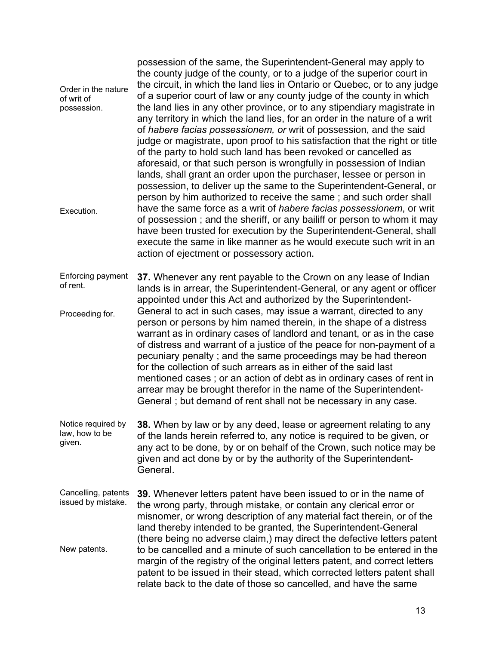Order in the nature of writ of possession. Execution. possession of the same, the Superintendent-General may apply to the county judge of the county, or to a judge of the superior court in the circuit, in which the land lies in Ontario or Quebec, or to any judge of a superior court of law or any county judge of the county in which the land lies in any other province, or to any stipendiary magistrate in any territory in which the land lies, for an order in the nature of a writ of *habere facias possessionem, or* writ of possession, and the said judge or magistrate, upon proof to his satisfaction that the right or title of the party to hold such land has been revoked or cancelled as aforesaid, or that such person is wrongfully in possession of Indian lands, shall grant an order upon the purchaser, lessee or person in possession, to deliver up the same to the Superintendent-General, or person by him authorized to receive the same ; and such order shall have the same force as a writ of *habere facias possessionem*, or writ of possession ; and the sheriff, or any bailiff or person to whom it may have been trusted for execution by the Superintendent-General, shall execute the same in like manner as he would execute such writ in an action of ejectment or possessory action.

Enforcing payment of rent. Proceeding for. **37.** Whenever any rent payable to the Crown on any lease of Indian lands is in arrear, the Superintendent-General, or any agent or officer appointed under this Act and authorized by the Superintendent-General to act in such cases, may issue a warrant, directed to any person or persons by him named therein, in the shape of a distress warrant as in ordinary cases of landlord and tenant, or as in the case of distress and warrant of a justice of the peace for non-payment of a pecuniary penalty ; and the same proceedings may be had thereon for the collection of such arrears as in either of the said last mentioned cases ; or an action of debt as in ordinary cases of rent in arrear may be brought therefor in the name of the Superintendent-General ; but demand of rent shall not be necessary in any case.

Notice required by law, how to be given. **38.** When by law or by any deed, lease or agreement relating to any of the lands herein referred to, any notice is required to be given, or any act to be done, by or on behalf of the Crown, such notice may be given and act done by or by the authority of the Superintendent-General.

Cancelling, patents issued by mistake. New patents. **39.** Whenever letters patent have been issued to or in the name of the wrong party, through mistake, or contain any clerical error or misnomer, or wrong description of any material fact therein, or of the land thereby intended to be granted, the Superintendent-General (there being no adverse claim,) may direct the defective letters patent to be cancelled and a minute of such cancellation to be entered in the margin of the registry of the original letters patent, and correct letters patent to be issued in their stead, which corrected letters patent shall relate back to the date of those so cancelled, and have the same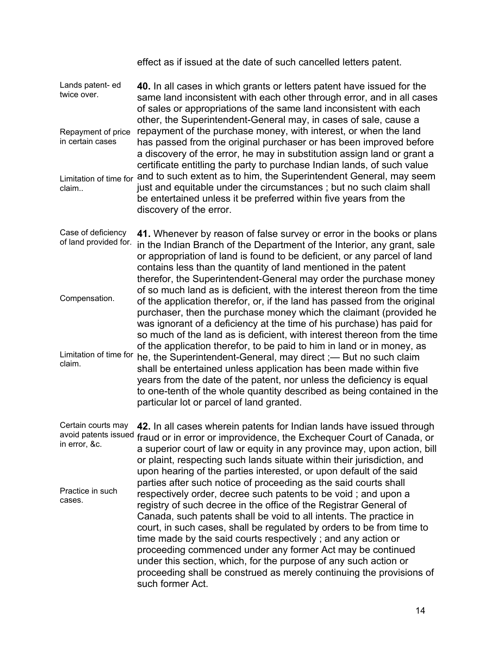effect as if issued at the date of such cancelled letters patent.

Lands patent- ed twice over. Repayment of price in certain cases Limitation of time for and to such extent as to him, the Superintendent General, may seem claim.. **40.** In all cases in which grants or letters patent have issued for the same land inconsistent with each other through error, and in all cases of sales or appropriations of the same land inconsistent with each other, the Superintendent-General may, in cases of sale, cause a repayment of the purchase money, with interest, or when the land has passed from the original purchaser or has been improved before a discovery of the error, he may in substitution assign land or grant a certificate entitling the party to purchase Indian lands, of such value just and equitable under the circumstances ; but no such claim shall be entertained unless it be preferred within five years from the discovery of the error.

Case of deficiency of land provided for. Compensation. Limitation of time for claim. **41.** Whenever by reason of false survey or error in the books or plans in the Indian Branch of the Department of the Interior, any grant, sale or appropriation of land is found to be deficient, or any parcel of land contains less than the quantity of land mentioned in the patent therefor, the Superintendent-General may order the purchase money of so much land as is deficient, with the interest thereon from the time of the application therefor, or, if the land has passed from the original purchaser, then the purchase money which the claimant (provided he was ignorant of a deficiency at the time of his purchase) has paid for so much of the land as is deficient, with interest thereon from the time of the application therefor, to be paid to him in land or in money, as he, the Superintendent-General, may direct ;— But no such claim shall be entertained unless application has been made within five years from the date of the patent, nor unless the deficiency is equal to one-tenth of the whole quantity described as being contained in the particular lot or parcel of land granted.

Certain courts may avoid patents issued in error, &c. Practice in such cases. **42.** In all cases wherein patents for Indian lands have issued through fraud or in error or improvidence, the Exchequer Court of Canada, or a superior court of law or equity in any province may, upon action, bill or plaint, respecting such lands situate within their jurisdiction, and upon hearing of the parties interested, or upon default of the said parties after such notice of proceeding as the said courts shall respectively order, decree such patents to be void ; and upon a registry of such decree in the office of the Registrar General of Canada, such patents shall be void to all intents. The practice in court, in such cases, shall be regulated by orders to be from time to time made by the said courts respectively ; and any action or proceeding commenced under any former Act may be continued under this section, which, for the purpose of any such action or proceeding shall be construed as merely continuing the provisions of such former Act.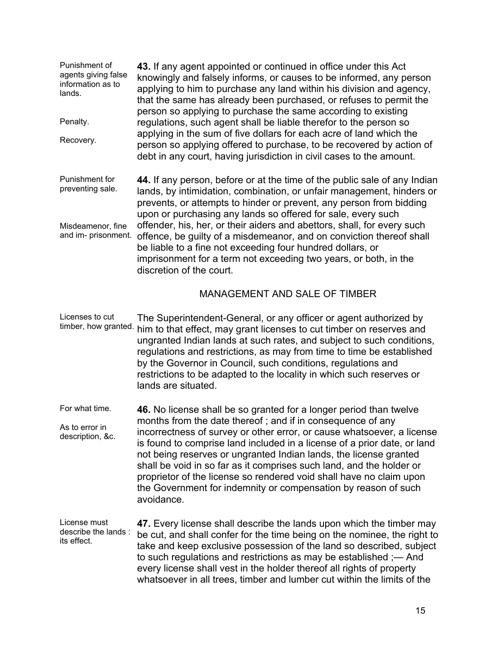| Punishment of<br>agents giving false<br>information as to<br>lands.<br>Penalty.<br>Recovery. | 43. If any agent appointed or continued in office under this Act<br>knowingly and falsely informs, or causes to be informed, any person<br>applying to him to purchase any land within his division and agency,<br>that the same has already been purchased, or refuses to permit the<br>person so applying to purchase the same according to existing<br>regulations, such agent shall be liable therefor to the person so<br>applying in the sum of five dollars for each acre of land which the<br>person so applying offered to purchase, to be recovered by action of<br>debt in any court, having jurisdiction in civil cases to the amount. |
|----------------------------------------------------------------------------------------------|----------------------------------------------------------------------------------------------------------------------------------------------------------------------------------------------------------------------------------------------------------------------------------------------------------------------------------------------------------------------------------------------------------------------------------------------------------------------------------------------------------------------------------------------------------------------------------------------------------------------------------------------------|
| Punishment for<br>preventing sale.                                                           | 44. If any person, before or at the time of the public sale of any Indian<br>lands, by intimidation, combination, or unfair management, hinders or<br>prevents, or attempts to hinder or prevent, any person from bidding                                                                                                                                                                                                                                                                                                                                                                                                                          |
| Misdeamenor, fine<br>and im- prisonment.                                                     | upon or purchasing any lands so offered for sale, every such<br>offender, his, her, or their aiders and abettors, shall, for every such<br>offence, be guilty of a misdemeanor, and on conviction thereof shall<br>be liable to a fine not exceeding four hundred dollars, or<br>imprisonment for a term not exceeding two years, or both, in the<br>discretion of the court.                                                                                                                                                                                                                                                                      |
|                                                                                              | <b>MANAGEMENT AND SALE OF TIMBER</b>                                                                                                                                                                                                                                                                                                                                                                                                                                                                                                                                                                                                               |
| Licenses to cut<br>timber, how granted.                                                      | The Superintendent-General, or any officer or agent authorized by<br>him to that effect, may grant licenses to cut timber on reserves and<br>ungranted Indian lands at such rates, and subject to such conditions,<br>regulations and restrictions, as may from time to time be established<br>by the Governor in Council, such conditions, regulations and<br>restrictions to be adapted to the locality in which such reserves or<br>lands are situated.                                                                                                                                                                                         |
| For what time.<br>As to error in<br>description, &c.                                         | 46. No license shall be so granted for a longer period than twelve<br>months from the date thereof; and if in consequence of any<br>incorrectness of survey or other error, or cause whatsoever, a license<br>is found to comprise land included in a license of a prior date, or land<br>not being reserves or ungranted Indian lands, the license granted<br>shall be void in so far as it comprises such land, and the holder or                                                                                                                                                                                                                |

proprietor of the license so rendered void shall have no claim upon the Government for indemnity or compensation by reason of such avoidance.

License must describe the lands : its effect. **47.** Every license shall describe the lands upon which the timber may be cut, and shall confer for the time being on the nominee, the right to take and keep exclusive possession of the land so described, subject to such regulations and restrictions as may be established ;— And every license shall vest in the holder thereof all rights of property whatsoever in all trees, timber and lumber cut within the limits of the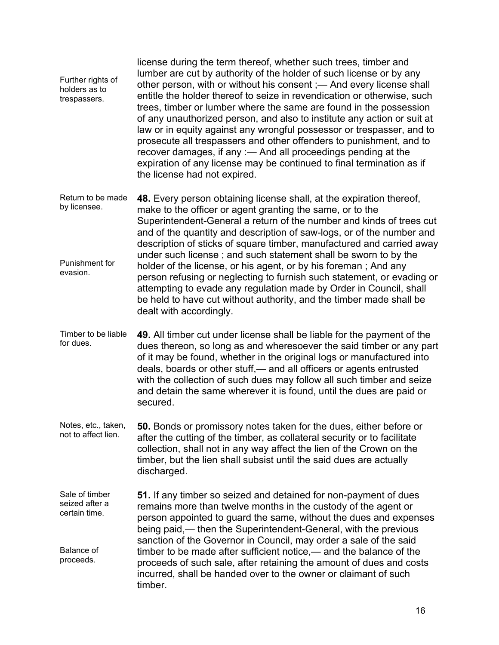- Further rights of holders as to trespassers. license during the term thereof, whether such trees, timber and lumber are cut by authority of the holder of such license or by any other person, with or without his consent ;— And every license shall entitle the holder thereof to seize in revendication or otherwise, such trees, timber or lumber where the same are found in the possession of any unauthorized person, and also to institute any action or suit at law or in equity against any wrongful possessor or trespasser, and to prosecute all trespassers and other offenders to punishment, and to recover damages, if any :— And all proceedings pending at the expiration of any license may be continued to final termination as if the license had not expired.
- Return to be made by licensee. Punishment for evasion. **48.** Every person obtaining license shall, at the expiration thereof, make to the officer or agent granting the same, or to the Superintendent-General a return of the number and kinds of trees cut and of the quantity and description of saw-logs, or of the number and description of sticks of square timber, manufactured and carried away under such license ; and such statement shall be sworn to by the holder of the license, or his agent, or by his foreman ; And any person refusing or neglecting to furnish such statement, or evading or attempting to evade any regulation made by Order in Council, shall be held to have cut without authority, and the timber made shall be dealt with accordingly.
- Timber to be liable for dues. **49.** All timber cut under license shall be liable for the payment of the dues thereon, so long as and wheresoever the said timber or any part of it may be found, whether in the original logs or manufactured into deals, boards or other stuff,— and all officers or agents entrusted with the collection of such dues may follow all such timber and seize and detain the same wherever it is found, until the dues are paid or secured.
- Notes, etc., taken, not to affect lien. **50.** Bonds or promissory notes taken for the dues, either before or after the cutting of the timber, as collateral security or to facilitate collection, shall not in any way affect the lien of the Crown on the timber, but the lien shall subsist until the said dues are actually discharged.
- Sale of timber seized after a certain time. Balance of proceeds. **51.** If any timber so seized and detained for non-payment of dues remains more than twelve months in the custody of the agent or person appointed to guard the same, without the dues and expenses being paid,— then the Superintendent-General, with the previous sanction of the Governor in Council, may order a sale of the said timber to be made after sufficient notice,— and the balance of the proceeds of such sale, after retaining the amount of dues and costs incurred, shall be handed over to the owner or claimant of such timber.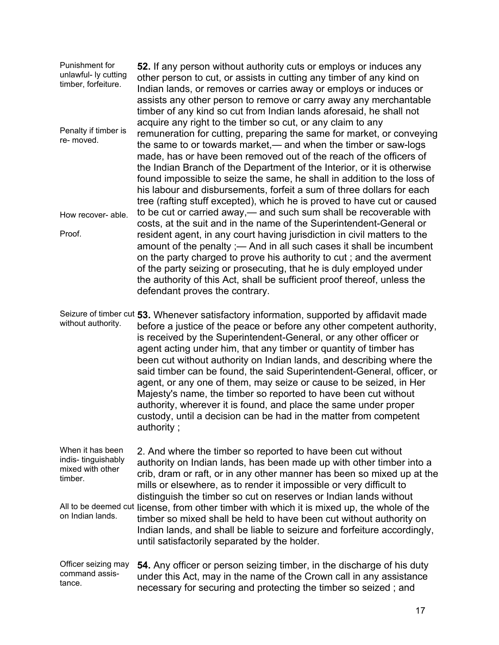| Punishment for<br>unlawful- ly cutting | 52. If any person without authority cuts or employs or induces any                                         |
|----------------------------------------|------------------------------------------------------------------------------------------------------------|
| timber, forfeiture.                    | other person to cut, or assists in cutting any timber of any kind on                                       |
|                                        | Indian lands, or removes or carries away or employs or induces or                                          |
|                                        | assists any other person to remove or carry away any merchantable                                          |
|                                        | timber of any kind so cut from Indian lands aforesaid, he shall not                                        |
| Penalty if timber is                   | acquire any right to the timber so cut, or any claim to any                                                |
| re-moved.                              | remuneration for cutting, preparing the same for market, or conveying                                      |
|                                        | the same to or towards market,— and when the timber or saw-logs                                            |
|                                        | made, has or have been removed out of the reach of the officers of                                         |
|                                        | the Indian Branch of the Department of the Interior, or it is otherwise                                    |
|                                        | found impossible to seize the same, he shall in addition to the loss of                                    |
|                                        | his labour and disbursements, forfeit a sum of three dollars for each                                      |
|                                        | tree (rafting stuff excepted), which he is proved to have cut or caused                                    |
| How recover- able.                     | to be cut or carried away,— and such sum shall be recoverable with                                         |
|                                        | costs, at the suit and in the name of the Superintendent-General or                                        |
| Proof.                                 | resident agent, in any court having jurisdiction in civil matters to the                                   |
|                                        | amount of the penalty ;— And in all such cases it shall be incumbent                                       |
|                                        | on the party charged to prove his authority to cut; and the averment                                       |
|                                        | of the party seizing or prosecuting, that he is duly employed under                                        |
|                                        |                                                                                                            |
|                                        |                                                                                                            |
|                                        | the authority of this Act, shall be sufficient proof thereof, unless the<br>defendant proves the contrary. |

Seizure of timber cut **53.** Whenever satisfactory information, supported by affidavit made without authority. before a justice of the peace or before any other competent authority, is received by the Superintendent-General, or any other officer or agent acting under him, that any timber or quantity of timber has been cut without authority on Indian lands, and describing where the said timber can be found, the said Superintendent-General, officer, or agent, or any one of them, may seize or cause to be seized, in Her Majesty's name, the timber so reported to have been cut without authority, wherever it is found, and place the same under proper custody, until a decision can be had in the matter from competent authority ;

When it has been indis- tinguishably mixed with other timber. All to be deemed cut license, from other timber with which it is mixed up, the whole of the on Indian lands. 2. And where the timber so reported to have been cut without authority on Indian lands, has been made up with other timber into a crib, dram or raft, or in any other manner has been so mixed up at the mills or elsewhere, as to render it impossible or very difficult to distinguish the timber so cut on reserves or Indian lands without timber so mixed shall be held to have been cut without authority on Indian lands, and shall be liable to seizure and forfeiture accordingly, until satisfactorily separated by the holder.

Officer seizing may command assistance. **54.** Any officer or person seizing timber, in the discharge of his duty under this Act, may in the name of the Crown call in any assistance necessary for securing and protecting the timber so seized ; and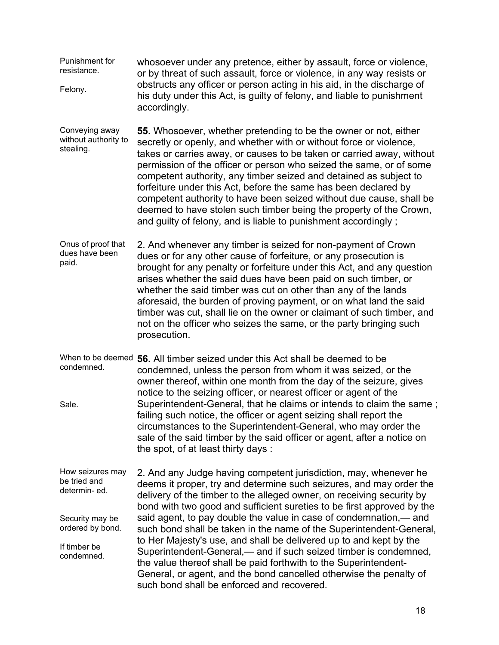Punishment for resistance. Felony. whosoever under any pretence, either by assault, force or violence, or by threat of such assault, force or violence, in any way resists or obstructs any officer or person acting in his aid, in the discharge of his duty under this Act, is guilty of felony, and liable to punishment accordingly.

Conveying away without authority to stealing. **55.** Whosoever, whether pretending to be the owner or not, either secretly or openly, and whether with or without force or violence, takes or carries away, or causes to be taken or carried away, without permission of the officer or person who seized the same, or of some competent authority, any timber seized and detained as subject to forfeiture under this Act, before the same has been declared by competent authority to have been seized without due cause, shall be deemed to have stolen such timber being the property of the Crown, and guilty of felony, and is liable to punishment accordingly ;

Onus of proof that dues have been paid. 2. And whenever any timber is seized for non-payment of Crown dues or for any other cause of forfeiture, or any prosecution is brought for any penalty or forfeiture under this Act, and any question arises whether the said dues have been paid on such timber, or whether the said timber was cut on other than any of the lands aforesaid, the burden of proving payment, or on what land the said timber was cut, shall lie on the owner or claimant of such timber, and not on the officer who seizes the same, or the party bringing such prosecution.

When to be deemed **56.** All timber seized under this Act shall be deemed to be condemned. Sale. condemned, unless the person from whom it was seized, or the owner thereof, within one month from the day of the seizure, gives notice to the seizing officer, or nearest officer or agent of the Superintendent-General, that he claims or intends to claim the same ; failing such notice, the officer or agent seizing shall report the circumstances to the Superintendent-General, who may order the sale of the said timber by the said officer or agent, after a notice on the spot, of at least thirty days :

How seizures may be tried and determin- ed. Security may be ordered by bond. If timber be condemned. 2. And any Judge having competent jurisdiction, may, whenever he deems it proper, try and determine such seizures, and may order the delivery of the timber to the alleged owner, on receiving security by bond with two good and sufficient sureties to be first approved by the said agent, to pay double the value in case of condemnation,— and such bond shall be taken in the name of the Superintendent-General, to Her Majesty's use, and shall be delivered up to and kept by the Superintendent-General,— and if such seized timber is condemned, the value thereof shall be paid forthwith to the Superintendent-General, or agent, and the bond cancelled otherwise the penalty of such bond shall be enforced and recovered.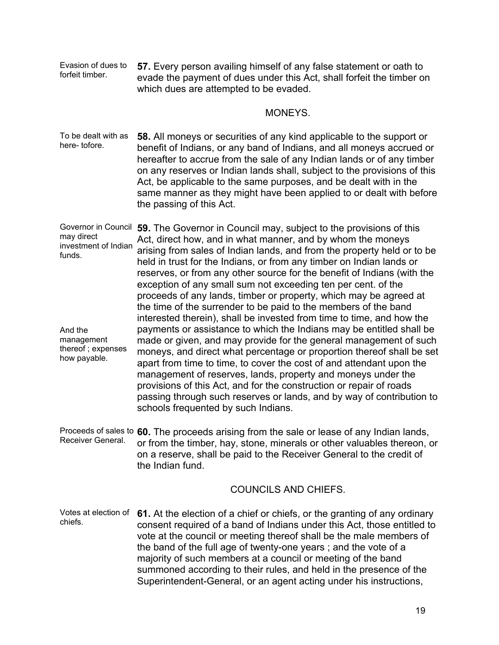Evasion of dues to forfeit timber. **57.** Every person availing himself of any false statement or oath to evade the payment of dues under this Act, shall forfeit the timber on which dues are attempted to be evaded.

#### MONEYS.

- To be dealt with as here- tofore. **58.** All moneys or securities of any kind applicable to the support or benefit of Indians, or any band of Indians, and all moneys accrued or hereafter to accrue from the sale of any Indian lands or of any timber on any reserves or Indian lands shall, subject to the provisions of this Act, be applicable to the same purposes, and be dealt with in the same manner as they might have been applied to or dealt with before the passing of this Act.
- Governor in Council **59.** The Governor in Council may, subject to the provisions of this may direct investment of Indian funds. And the management thereof ; expenses how payable. Act, direct how, and in what manner, and by whom the moneys arising from sales of Indian lands, and from the property held or to be held in trust for the Indians, or from any timber on Indian lands or reserves, or from any other source for the benefit of Indians (with the exception of any small sum not exceeding ten per cent. of the proceeds of any lands, timber or property, which may be agreed at the time of the surrender to be paid to the members of the band interested therein), shall be invested from time to time, and how the payments or assistance to which the Indians may be entitled shall be made or given, and may provide for the general management of such moneys, and direct what percentage or proportion thereof shall be set apart from time to time, to cover the cost of and attendant upon the management of reserves, lands, property and moneys under the provisions of this Act, and for the construction or repair of roads passing through such reserves or lands, and by way of contribution to schools frequented by such Indians.
- Proceeds of sales to **60.** The proceeds arising from the sale or lease of any Indian lands, Receiver General. or from the timber, hay, stone, minerals or other valuables thereon, or on a reserve, shall be paid to the Receiver General to the credit of the Indian fund.

# COUNCILS AND CHIEFS.

Votes at election of **61.** At the election of a chief or chiefs, or the granting of any ordinary chiefs. consent required of a band of Indians under this Act, those entitled to vote at the council or meeting thereof shall be the male members of the band of the full age of twenty-one years ; and the vote of a majority of such members at a council or meeting of the band summoned according to their rules, and held in the presence of the Superintendent-General, or an agent acting under his instructions,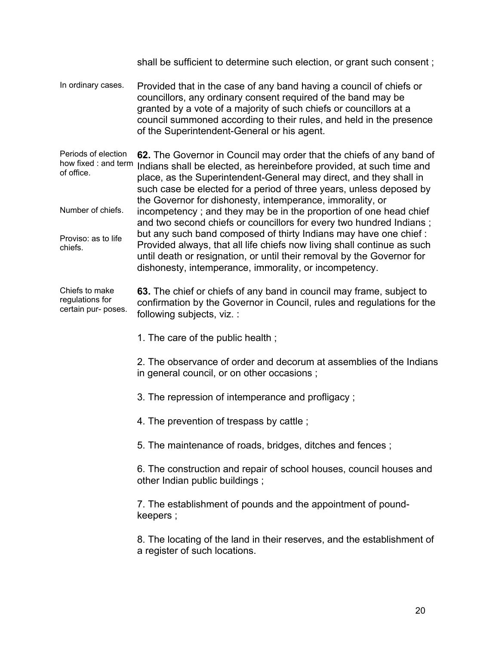shall be sufficient to determine such election, or grant such consent ;

In ordinary cases. Provided that in the case of any band having a council of chiefs or councillors, any ordinary consent required of the band may be granted by a vote of a majority of such chiefs or councillors at a council summoned according to their rules, and held in the presence of the Superintendent-General or his agent.

Periods of election how fixed : and term of office. Number of chiefs. Proviso: as to life chiefs. **62.** The Governor in Council may order that the chiefs of any band of Indians shall be elected, as hereinbefore provided, at such time and place, as the Superintendent-General may direct, and they shall in such case be elected for a period of three years, unless deposed by the Governor for dishonesty, intemperance, immorality, or incompetency ; and they may be in the proportion of one head chief and two second chiefs or councillors for every two hundred Indians ; but any such band composed of thirty Indians may have one chief : Provided always, that all life chiefs now living shall continue as such until death or resignation, or until their removal by the Governor for dishonesty, intemperance, immorality, or incompetency.

Chiefs to make regulations for certain pur- poses. **63.** The chief or chiefs of any band in council may frame, subject to confirmation by the Governor in Council, rules and regulations for the following subjects, viz. :

1. The care of the public health ;

2. The observance of order and decorum at assemblies of the Indians in general council, or on other occasions ;

3. The repression of intemperance and profligacy ;

4. The prevention of trespass by cattle ;

5. The maintenance of roads, bridges, ditches and fences ;

6. The construction and repair of school houses, council houses and other Indian public buildings ;

7. The establishment of pounds and the appointment of poundkeepers ;

8. The locating of the land in their reserves, and the establishment of a register of such locations.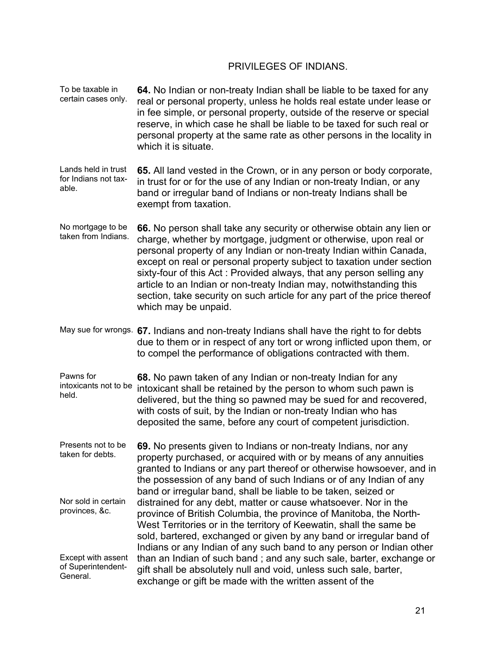# PRIVILEGES OF INDIANS.

To be taxable in certain cases only. **64.** No Indian or non-treaty Indian shall be liable to be taxed for any real or personal property, unless he holds real estate under lease or in fee simple, or personal property, outside of the reserve or special reserve, in which case he shall be liable to be taxed for such real or personal property at the same rate as other persons in the locality in which it is situate.

Lands held in trust for Indians not taxable. **65.** All land vested in the Crown, or in any person or body corporate, in trust for or for the use of any Indian or non-treaty Indian, or any band or irregular band of Indians or non-treaty Indians shall be exempt from taxation.

- No mortgage to be taken from Indians. **66.** No person shall take any security or otherwise obtain any lien or charge, whether by mortgage, judgment or otherwise, upon real or personal property of any Indian or non-treaty Indian within Canada, except on real or personal property subject to taxation under section sixty-four of this Act : Provided always, that any person selling any article to an Indian or non-treaty Indian may, notwithstanding this section, take security on such article for any part of the price thereof which may be unpaid.
- May sue for wrongs. **67.** Indians and non-treaty Indians shall have the right to for debts due to them or in respect of any tort or wrong inflicted upon them, or to compel the performance of obligations contracted with them.

Pawns for intoxicants not to be held. **68.** No pawn taken of any Indian or non-treaty Indian for any intoxicant shall be retained by the person to whom such pawn is delivered, but the thing so pawned may be sued for and recovered, with costs of suit, by the Indian or non-treaty Indian who has deposited the same, before any court of competent jurisdiction.

Presents not to be taken for debts. Nor sold in certain provinces, &c. Except with assent of Superintendent-General. **69.** No presents given to Indians or non-treaty Indians, nor any property purchased, or acquired with or by means of any annuities granted to Indians or any part thereof or otherwise howsoever, and in the possession of any band of such Indians or of any Indian of any band or irregular band, shall be liable to be taken, seized or distrained for any debt, matter or cause whatsoever. Nor in the province of British Columbia, the province of Manitoba, the North-West Territories or in the territory of Keewatin, shall the same be sold, bartered, exchanged or given by any band or irregular band of Indians or any Indian of any such band to any person or Indian other than an Indian of such band ; and any such sale, barter, exchange or gift shall be absolutely null and void, unless such sale, barter, exchange or gift be made with the written assent of the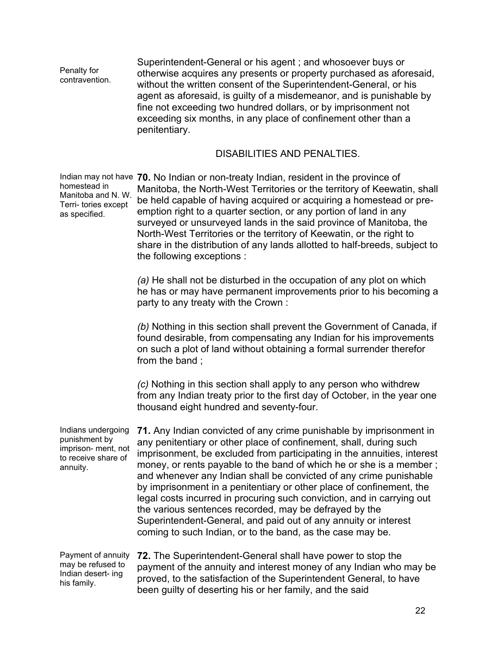Penalty for contravention. Superintendent-General or his agent ; and whosoever buys or otherwise acquires any presents or property purchased as aforesaid, without the written consent of the Superintendent-General, or his agent as aforesaid, is guilty of a misdemeanor, and is punishable by fine not exceeding two hundred dollars, or by imprisonment not exceeding six months, in any place of confinement other than a penitentiary.

## DISABILITIES AND PENALTIES.

homestead in Manitoba and N. W. Terri- tories except as specified.

Indian may not have **70.** No Indian or non-treaty Indian, resident in the province of Manitoba, the North-West Territories or the territory of Keewatin, shall be held capable of having acquired or acquiring a homestead or preemption right to a quarter section, or any portion of land in any surveyed or unsurveyed lands in the said province of Manitoba, the North-West Territories or the territory of Keewatin, or the right to share in the distribution of any lands allotted to half-breeds, subject to the following exceptions :

> *(a)* He shall not be disturbed in the occupation of any plot on which he has or may have permanent improvements prior to his becoming a party to any treaty with the Crown :

> *(b)* Nothing in this section shall prevent the Government of Canada, if found desirable, from compensating any Indian for his improvements on such a plot of land without obtaining a formal surrender therefor from the band ;

> *(c)* Nothing in this section shall apply to any person who withdrew from any Indian treaty prior to the first day of October, in the year one thousand eight hundred and seventy-four.

Indians undergoing punishment by imprison- ment, not to receive share of annuity. **71.** Any Indian convicted of any crime punishable by imprisonment in any penitentiary or other place of confinement, shall, during such imprisonment, be excluded from participating in the annuities, interest money, or rents payable to the band of which he or she is a member ; and whenever any Indian shall be convicted of any crime punishable by imprisonment in a penitentiary or other place of confinement, the legal costs incurred in procuring such conviction, and in carrying out the various sentences recorded, may be defrayed by the Superintendent-General, and paid out of any annuity or interest coming to such Indian, or to the band, as the case may be.

Payment of annuity may be refused to Indian desert- ing his family. **72.** The Superintendent-General shall have power to stop the payment of the annuity and interest money of any Indian who may be proved, to the satisfaction of the Superintendent General, to have been guilty of deserting his or her family, and the said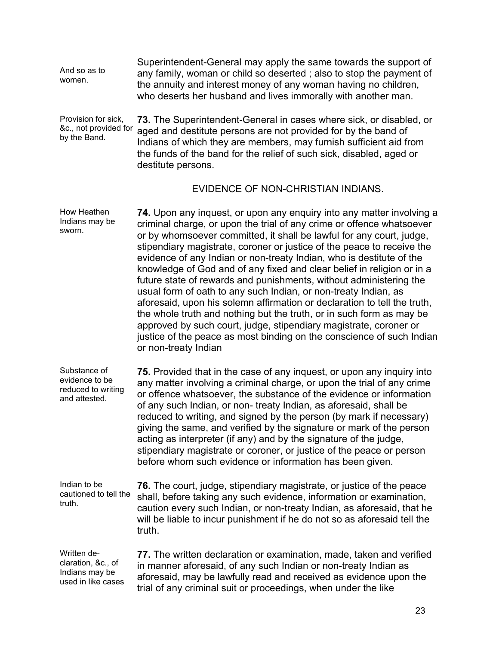| And so as to<br>women.                                       | Superintendent-General may apply the same towards the support of<br>any family, woman or child so deserted; also to stop the payment of<br>the annuity and interest money of any woman having no children,<br>who deserts her husband and lives immorally with another man.                                      |
|--------------------------------------------------------------|------------------------------------------------------------------------------------------------------------------------------------------------------------------------------------------------------------------------------------------------------------------------------------------------------------------|
| Provision for sick.<br>&c., not provided for<br>by the Band. | <b>73.</b> The Superintendent-General in cases where sick, or disabled, or<br>aged and destitute persons are not provided for by the band of<br>Indians of which they are members, may furnish sufficient aid from<br>the funds of the band for the relief of such sick, disabled, aged or<br>destitute persons. |
|                                                              | EVIDENCE OF NON-CHRISTIAN INDIANS.                                                                                                                                                                                                                                                                               |

How Heathen Indians may be sworn. **74.** Upon any inquest, or upon any enquiry into any matter involving a criminal charge, or upon the trial of any crime or offence whatsoever or by whomsoever committed, it shall be lawful for any court, judge, stipendiary magistrate, coroner or justice of the peace to receive the evidence of any Indian or non-treaty Indian, who is destitute of the knowledge of God and of any fixed and clear belief in religion or in a future state of rewards and punishments, without administering the usual form of oath to any such Indian, or non-treaty Indian, as aforesaid, upon his solemn affirmation or declaration to tell the truth, the whole truth and nothing but the truth, or in such form as may be approved by such court, judge, stipendiary magistrate, coroner or justice of the peace as most binding on the conscience of such Indian or non-treaty Indian

Substance of evidence to be reduced to writing and attested. **75.** Provided that in the case of any inquest, or upon any inquiry into any matter involving a criminal charge, or upon the trial of any crime or offence whatsoever, the substance of the evidence or information of any such Indian, or non- treaty Indian, as aforesaid, shall be reduced to writing, and signed by the person (by mark if necessary) giving the same, and verified by the signature or mark of the person acting as interpreter (if any) and by the signature of the judge, stipendiary magistrate or coroner, or justice of the peace or person before whom such evidence or information has been given.

Indian to be cautioned to tell the truth. **76.** The court, judge, stipendiary magistrate, or justice of the peace shall, before taking any such evidence, information or examination, caution every such Indian, or non-treaty Indian, as aforesaid, that he will be liable to incur punishment if he do not so as aforesaid tell the truth.

Written declaration, &c., of Indians may be used in like cases

**77.** The written declaration or examination, made, taken and verified in manner aforesaid, of any such Indian or non-treaty Indian as aforesaid, may be lawfully read and received as evidence upon the trial of any criminal suit or proceedings, when under the like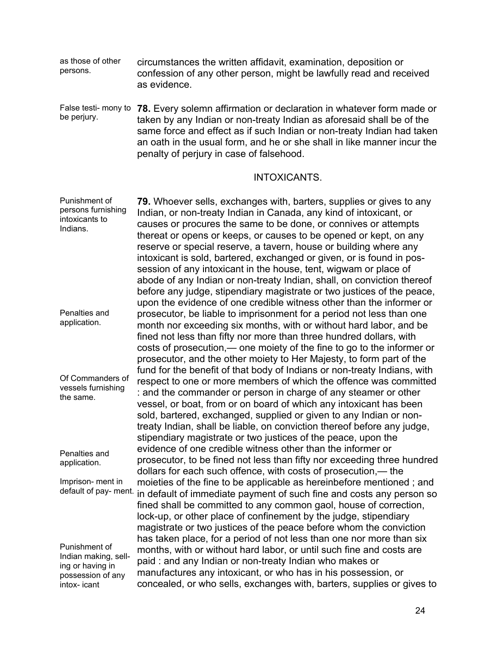- as those of other persons. circumstances the written affidavit, examination, deposition or confession of any other person, might be lawfully read and received as evidence.
- False testi- mony to **78.** Every solemn affirmation or declaration in whatever form made or be perjury. taken by any Indian or non-treaty Indian as aforesaid shall be of the same force and effect as if such Indian or non-treaty Indian had taken an oath in the usual form, and he or she shall in like manner incur the penalty of perjury in case of falsehood.

#### INTOXICANTS.

Punishment of persons furnishing intoxicants to Indians. Penalties and application. Of Commanders of vessels furnishing the same. Penalties and application. Imprison- ment in default of pay- ment. Punishment of Indian making, selling or having in possession of any intox- icant **79.** Whoever sells, exchanges with, barters, supplies or gives to any Indian, or non-treaty Indian in Canada, any kind of intoxicant, or causes or procures the same to be done, or connives or attempts thereat or opens or keeps, or causes to be opened or kept, on any reserve or special reserve, a tavern, house or building where any intoxicant is sold, bartered, exchanged or given, or is found in possession of any intoxicant in the house, tent, wigwam or place of abode of any Indian or non-treaty Indian, shall, on conviction thereof before any judge, stipendiary magistrate or two justices of the peace, upon the evidence of one credible witness other than the informer or prosecutor, be liable to imprisonment for a period not less than one month nor exceeding six months, with or without hard labor, and be fined not less than fifty nor more than three hundred dollars, with costs of prosecution,— one moiety of the fine to go to the informer or prosecutor, and the other moiety to Her Majesty, to form part of the fund for the benefit of that body of Indians or non-treaty Indians, with respect to one or more members of which the offence was committed : and the commander or person in charge of any steamer or other vessel, or boat, from or on board of which any intoxicant has been sold, bartered, exchanged, supplied or given to any Indian or nontreaty Indian, shall be liable, on conviction thereof before any judge, stipendiary magistrate or two justices of the peace, upon the evidence of one credible witness other than the informer or prosecutor, to be fined not less than fifty nor exceeding three hundred dollars for each such offence, with costs of prosecution,— the moieties of the fine to be applicable as hereinbefore mentioned ; and in default of immediate payment of such fine and costs any person so fined shall be committed to any common gaol, house of correction, lock-up, or other place of confinement by the judge, stipendiary magistrate or two justices of the peace before whom the conviction has taken place, for a period of not less than one nor more than six months, with or without hard labor, or until such fine and costs are paid : and any Indian or non-treaty Indian who makes or manufactures any intoxicant, or who has in his possession, or concealed, or who sells, exchanges with, barters, supplies or gives to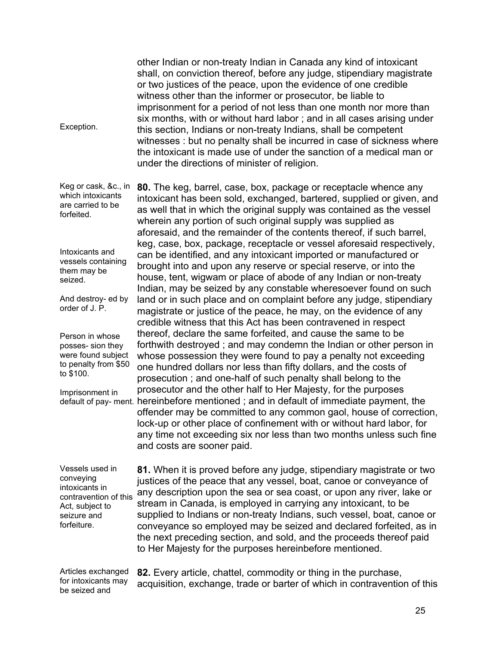Exception. other Indian or non-treaty Indian in Canada any kind of intoxicant shall, on conviction thereof, before any judge, stipendiary magistrate or two justices of the peace, upon the evidence of one credible witness other than the informer or prosecutor, be liable to imprisonment for a period of not less than one month nor more than six months, with or without hard labor ; and in all cases arising under this section, Indians or non-treaty Indians, shall be competent witnesses : but no penalty shall be incurred in case of sickness where the intoxicant is made use of under the sanction of a medical man or under the directions of minister of religion.

Keg or cask, &c., in which intoxicants are carried to be forfeited. Intoxicants and vessels containing them may be seized. And destroy- ed by order of J. P. Person in whose posses- sion they were found subject to penalty from \$50 to \$100. Imprisonment in default of pay- ment. hereinbefore mentioned ; and in default of immediate payment, the **80.** The keg, barrel, case, box, package or receptacle whence any intoxicant has been sold, exchanged, bartered, supplied or given, and as well that in which the original supply was contained as the vessel wherein any portion of such original supply was supplied as aforesaid, and the remainder of the contents thereof, if such barrel, keg, case, box, package, receptacle or vessel aforesaid respectively, can be identified, and any intoxicant imported or manufactured or brought into and upon any reserve or special reserve, or into the house, tent, wigwam or place of abode of any Indian or non-treaty Indian, may be seized by any constable wheresoever found on such land or in such place and on complaint before any judge, stipendiary magistrate or justice of the peace, he may, on the evidence of any credible witness that this Act has been contravened in respect thereof, declare the same forfeited, and cause the same to be forthwith destroyed ; and may condemn the Indian or other person in whose possession they were found to pay a penalty not exceeding one hundred dollars nor less than fifty dollars, and the costs of prosecution ; and one-half of such penalty shall belong to the prosecutor and the other half to Her Majesty, for the purposes offender may be committed to any common gaol, house of correction, lock-up or other place of confinement with or without hard labor, for any time not exceeding six nor less than two months unless such fine and costs are sooner paid.

Vessels used in conveying intoxicants in contravention of this Act, subject to seizure and forfeiture.

**81.** When it is proved before any judge, stipendiary magistrate or two justices of the peace that any vessel, boat, canoe or conveyance of any description upon the sea or sea coast, or upon any river, lake or stream in Canada, is employed in carrying any intoxicant, to be supplied to Indians or non-treaty Indians, such vessel, boat, canoe or conveyance so employed may be seized and declared forfeited, as in the next preceding section, and sold, and the proceeds thereof paid to Her Majesty for the purposes hereinbefore mentioned.

Articles exchanged for intoxicants may be seized and **82.** Every article, chattel, commodity or thing in the purchase, acquisition, exchange, trade or barter of which in contravention of this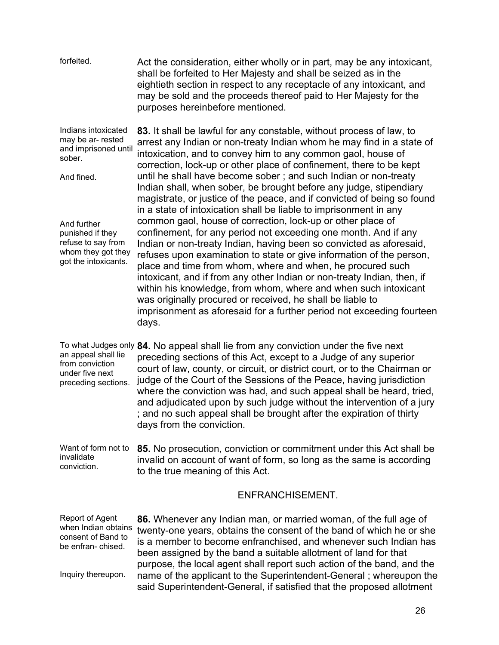forfeited. Act the consideration, either wholly or in part, may be any intoxicant, shall be forfeited to Her Majesty and shall be seized as in the eightieth section in respect to any receptacle of any intoxicant, and may be sold and the proceeds thereof paid to Her Majesty for the purposes hereinbefore mentioned. Indians intoxicated may be ar- rested and imprisoned until sober. And fined. And further punished if they refuse to say from whom they got they got the intoxicants. **83.** It shall be lawful for any constable, without process of law, to arrest any Indian or non-treaty Indian whom he may find in a state of intoxication, and to convey him to any common gaol, house of correction, lock-up or other place of confinement, there to be kept until he shall have become sober ; and such Indian or non-treaty Indian shall, when sober, be brought before any judge, stipendiary magistrate, or justice of the peace, and if convicted of being so found in a state of intoxication shall be liable to imprisonment in any common gaol, house of correction, lock-up or other place of confinement, for any period not exceeding one month. And if any Indian or non-treaty Indian, having been so convicted as aforesaid, refuses upon examination to state or give information of the person, place and time from whom, where and when, he procured such intoxicant, and if from any other Indian or non-treaty Indian, then, if within his knowledge, from whom, where and when such intoxicant was originally procured or received, he shall be liable to imprisonment as aforesaid for a further period not exceeding fourteen days. To what Judges only **84.** No appeal shall lie from any conviction under the five next an appeal shall lie from conviction under five next preceding sections. preceding sections of this Act, except to a Judge of any superior court of law, county, or circuit, or district court, or to the Chairman or judge of the Court of the Sessions of the Peace, having jurisdiction where the conviction was had, and such appeal shall be heard, tried, and adjudicated upon by such judge without the intervention of a jury ; and no such appeal shall be brought after the expiration of thirty days from the conviction. Want of form not to invalidate conviction. **85.** No prosecution, conviction or commitment under this Act shall be invalid on account of want of form, so long as the same is according to the true meaning of this Act. ENFRANCHISEMENT. Report of Agent when Indian obtains consent of Band to **86.** Whenever any Indian man, or married woman, of the full age of twenty-one years, obtains the consent of the band of which he or she

Inquiry thereupon.

be enfran- chised.

is a member to become enfranchised, and whenever such Indian has been assigned by the band a suitable allotment of land for that purpose, the local agent shall report such action of the band, and the name of the applicant to the Superintendent-General ; whereupon the said Superintendent-General, if satisfied that the proposed allotment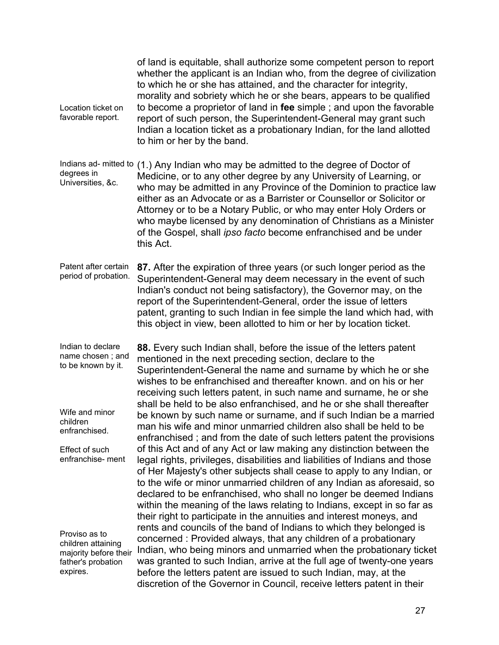Location ticket on favorable report. of land is equitable, shall authorize some competent person to report whether the applicant is an Indian who, from the degree of civilization to which he or she has attained, and the character for integrity, morality and sobriety which he or she bears, appears to be qualified to become a proprietor of land in **fee** simple ; and upon the favorable report of such person, the Superintendent-General may grant such Indian a location ticket as a probationary Indian, for the land allotted to him or her by the band.

Indians ad- mitted to (1.) Any Indian who may be admitted to the degree of Doctor of degrees in Universities, &c. Medicine, or to any other degree by any University of Learning, or who may be admitted in any Province of the Dominion to practice law either as an Advocate or as a Barrister or Counsellor or Solicitor or Attorney or to be a Notary Public, or who may enter Holy Orders or who maybe licensed by any denomination of Christians as a Minister of the Gospel, shall *ipso facto* become enfranchised and be under this Act.

Patent after certain period of probation. **87.** After the expiration of three years (or such longer period as the Superintendent-General may deem necessary in the event of such Indian's conduct not being satisfactory), the Governor may, on the report of the Superintendent-General, order the issue of letters patent, granting to such Indian in fee simple the land which had, with this object in view, been allotted to him or her by location ticket.

Indian to declare name chosen ; and to be known by it. Wife and minor children enfranchised. Effect of such enfranchise- ment Proviso as to children attaining majority before their father's probation expires. **88.** Every such Indian shall, before the issue of the letters patent mentioned in the next preceding section, declare to the Superintendent-General the name and surname by which he or she wishes to be enfranchised and thereafter known. and on his or her receiving such letters patent, in such name and surname, he or she shall be held to be also enfranchised, and he or she shall thereafter be known by such name or surname, and if such Indian be a married man his wife and minor unmarried children also shall be held to be enfranchised ; and from the date of such letters patent the provisions of this Act and of any Act or law making any distinction between the legal rights, privileges, disabilities and liabilities of Indians and those of Her Majesty's other subjects shall cease to apply to any Indian, or to the wife or minor unmarried children of any Indian as aforesaid, so declared to be enfranchised, who shall no longer be deemed Indians within the meaning of the laws relating to Indians, except in so far as their right to participate in the annuities and interest moneys, and rents and councils of the band of Indians to which they belonged is concerned : Provided always, that any children of a probationary Indian, who being minors and unmarried when the probationary ticket was granted to such Indian, arrive at the full age of twenty-one years before the letters patent are issued to such Indian, may, at the discretion of the Governor in Council, receive letters patent in their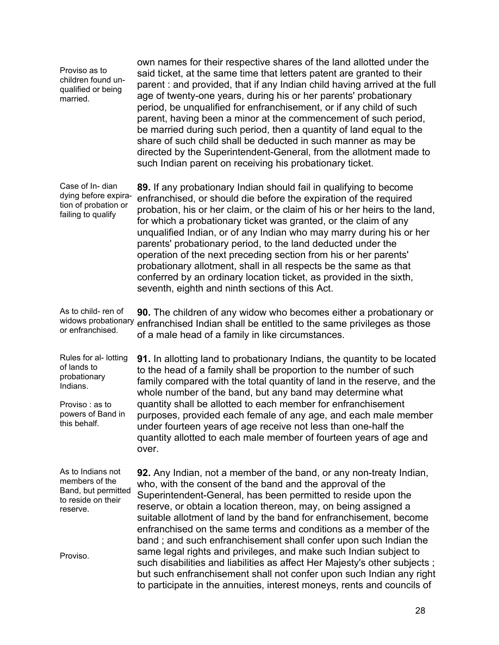| Proviso as to<br>children found un-<br>qualified or being<br>married.                                                   | own names for their respective shares of the land allotted under the<br>said ticket, at the same time that letters patent are granted to their<br>parent: and provided, that if any Indian child having arrived at the full<br>age of twenty-one years, during his or her parents' probationary<br>period, be unqualified for enfranchisement, or if any child of such<br>parent, having been a minor at the commencement of such period,<br>be married during such period, then a quantity of land equal to the<br>share of such child shall be deducted in such manner as may be<br>directed by the Superintendent-General, from the allotment made to<br>such Indian parent on receiving his probationary ticket. |
|-------------------------------------------------------------------------------------------------------------------------|----------------------------------------------------------------------------------------------------------------------------------------------------------------------------------------------------------------------------------------------------------------------------------------------------------------------------------------------------------------------------------------------------------------------------------------------------------------------------------------------------------------------------------------------------------------------------------------------------------------------------------------------------------------------------------------------------------------------|
| Case of In-dian<br>dying before expira-<br>tion of probation or<br>failing to qualify                                   | 89. If any probationary Indian should fail in qualifying to become<br>enfranchised, or should die before the expiration of the required<br>probation, his or her claim, or the claim of his or her heirs to the land,<br>for which a probationary ticket was granted, or the claim of any<br>unqualified Indian, or of any Indian who may marry during his or her<br>parents' probationary period, to the land deducted under the<br>operation of the next preceding section from his or her parents'<br>probationary allotment, shall in all respects be the same as that<br>conferred by an ordinary location ticket, as provided in the sixth,<br>seventh, eighth and ninth sections of this Act.                 |
| As to child- ren of<br>widows probationary<br>or enfranchised.                                                          | 90. The children of any widow who becomes either a probationary or<br>enfranchised Indian shall be entitled to the same privileges as those<br>of a male head of a family in like circumstances.                                                                                                                                                                                                                                                                                                                                                                                                                                                                                                                     |
| Rules for al- lotting<br>of lands to<br>probationary<br>Indians.<br>Proviso: as to<br>powers of Band in<br>this behalf. | 91. In allotting land to probationary Indians, the quantity to be located<br>to the head of a family shall be proportion to the number of such<br>family compared with the total quantity of land in the reserve, and the<br>whole number of the band, but any band may determine what<br>quantity shall be allotted to each member for enfranchisement<br>purposes, provided each female of any age, and each male member<br>under fourteen years of age receive not less than one-half the<br>quantity allotted to each male member of fourteen years of age and<br>over.                                                                                                                                          |
| As to Indians not<br>members of the<br>Band, but permitted<br>to reside on their<br>reserve.                            | 92. Any Indian, not a member of the band, or any non-treaty Indian,<br>who, with the consent of the band and the approval of the<br>Superintendent-General, has been permitted to reside upon the<br>reserve, or obtain a location thereon, may, on being assigned a<br>suitable allotment of land by the band for enfranchisement, become<br>enfranchised on the same terms and conditions as a member of the                                                                                                                                                                                                                                                                                                       |
| Proviso.                                                                                                                | band; and such enfranchisement shall confer upon such Indian the<br>same legal rights and privileges, and make such Indian subject to<br>such disabilities and liabilities as affect Her Majesty's other subjects;<br>but such enfranchisement shall not confer upon such Indian any right<br>to participate in the annuities, interest moneys, rents and councils of                                                                                                                                                                                                                                                                                                                                                |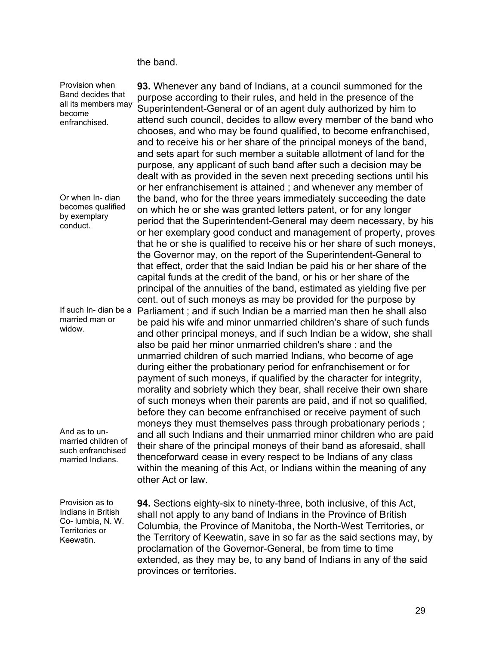the band.

Provision when Band decides that all its members may become enfranchised. Or when In- dian becomes qualified by exemplary conduct. If such In- dian be a married man or widow. And as to unmarried children of such enfranchised married Indians. **93.** Whenever any band of Indians, at a council summoned for the purpose according to their rules, and held in the presence of the Superintendent-General or of an agent duly authorized by him to attend such council, decides to allow every member of the band who chooses, and who may be found qualified, to become enfranchised, and to receive his or her share of the principal moneys of the band, and sets apart for such member a suitable allotment of land for the purpose, any applicant of such band after such a decision may be dealt with as provided in the seven next preceding sections until his or her enfranchisement is attained ; and whenever any member of the band, who for the three years immediately succeeding the date on which he or she was granted letters patent, or for any longer period that the Superintendent-General may deem necessary, by his or her exemplary good conduct and management of property, proves that he or she is qualified to receive his or her share of such moneys, the Governor may, on the report of the Superintendent-General to that effect, order that the said Indian be paid his or her share of the capital funds at the credit of the band, or his or her share of the principal of the annuities of the band, estimated as yielding five per cent. out of such moneys as may be provided for the purpose by Parliament ; and if such Indian be a married man then he shall also be paid his wife and minor unmarried children's share of such funds and other principal moneys, and if such Indian be a widow, she shall also be paid her minor unmarried children's share : and the unmarried children of such married Indians, who become of age during either the probationary period for enfranchisement or for payment of such moneys, if qualified by the character for integrity, morality and sobriety which they bear, shall receive their own share of such moneys when their parents are paid, and if not so qualified, before they can become enfranchised or receive payment of such moneys they must themselves pass through probationary periods ; and all such Indians and their unmarried minor children who are paid their share of the principal moneys of their band as aforesaid, shall thenceforward cease in every respect to be Indians of any class within the meaning of this Act, or Indians within the meaning of any other Act or law. Provision as to Indians in British Co- lumbia, N. W. Territories or Keewatin. **94.** Sections eighty-six to ninety-three, both inclusive, of this Act, shall not apply to any band of Indians in the Province of British Columbia, the Province of Manitoba, the North-West Territories, or the Territory of Keewatin, save in so far as the said sections may, by proclamation of the Governor-General, be from time to time extended, as they may be, to any band of Indians in any of the said provinces or territories.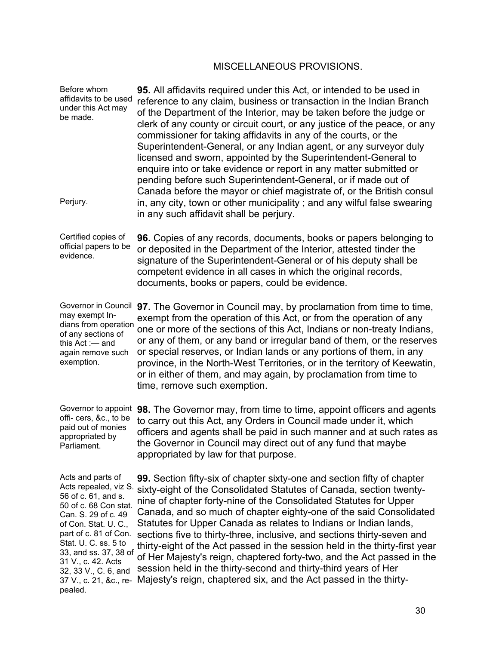#### MISCELLANEOUS PROVISIONS.

Before whom affidavits to be used under this Act may be made. Perjury. **95.** All affidavits required under this Act, or intended to be used in reference to any claim, business or transaction in the Indian Branch of the Department of the Interior, may be taken before the judge or clerk of any county or circuit court, or any justice of the peace, or any commissioner for taking affidavits in any of the courts, or the Superintendent-General, or any Indian agent, or any surveyor duly licensed and sworn, appointed by the Superintendent-General to enquire into or take evidence or report in any matter submitted or pending before such Superintendent-General, or if made out of Canada before the mayor or chief magistrate of, or the British consul in, any city, town or other municipality ; and any wilful false swearing in any such affidavit shall be perjury.

Certified copies of official papers to be evidence. **96.** Copies of any records, documents, books or papers belonging to or deposited in the Department of the Interior, attested tinder the signature of the Superintendent-General or of his deputy shall be competent evidence in all cases in which the original records, documents, books or papers, could be evidence.

Governor in Council **97.** The Governor in Council may, by proclamation from time to time, may exempt Indians from operation of any sections of this Act :— and again remove such exemption. exempt from the operation of this Act, or from the operation of any one or more of the sections of this Act, Indians or non-treaty Indians, or any of them, or any band or irregular band of them, or the reserves or special reserves, or Indian lands or any portions of them, in any province, in the North-West Territories, or in the territory of Keewatin, or in either of them, and may again, by proclamation from time to time, remove such exemption.

Governor to appoint **98.** The Governor may, from time to time, appoint officers and agents offi- cers, &c., to be paid out of monies appropriated by Parliament. to carry out this Act, any Orders in Council made under it, which officers and agents shall be paid in such manner and at such rates as the Governor in Council may direct out of any fund that maybe appropriated by law for that purpose.

Acts and parts of Acts repealed, viz S. 56 of c. 61, and s. 50 of c. 68 Con stat. Can. S. 29 of c. 49 of Con. Stat. U. C., part of c. 81 of Con. Stat. U. C. ss. 5 to 33, and ss. 37, 38 of 31 V., c. 42. Acts 32, 33 V., C. 6, and 37 V., c. 21, &c., repealed.

**99.** Section fifty-six of chapter sixty-one and section fifty of chapter sixty-eight of the Consolidated Statutes of Canada, section twentynine of chapter forty-nine of the Consolidated Statutes for Upper Canada, and so much of chapter eighty-one of the said Consolidated Statutes for Upper Canada as relates to Indians or Indian lands, sections five to thirty-three, inclusive, and sections thirty-seven and thirty-eight of the Act passed in the session held in the thirty-first year of Her Majesty's reign, chaptered forty-two, and the Act passed in the session held in the thirty-second and thirty-third years of Her Majesty's reign, chaptered six, and the Act passed in the thirty-